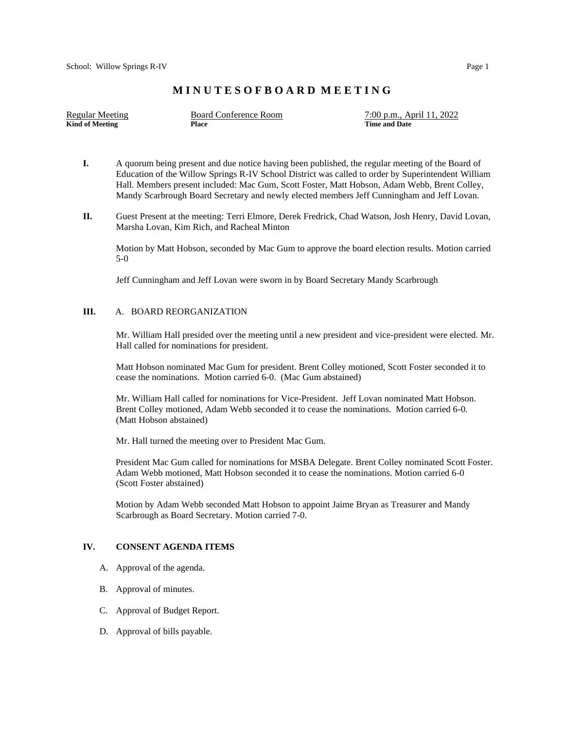# **M I N U T E S O F B O A R D M E E T I N G**

| Regular Meeting | Board Conference Room | 7:00 p.m., April 11, 2022 |
|-----------------|-----------------------|---------------------------|
| Kind of Meeting | Place                 | <b>Time and Date</b>      |

- **I.** A quorum being present and due notice having been published, the regular meeting of the Board of Education of the Willow Springs R-IV School District was called to order by Superintendent William Hall. Members present included: Mac Gum, Scott Foster, Matt Hobson, Adam Webb, Brent Colley, Mandy Scarbrough Board Secretary and newly elected members Jeff Cunningham and Jeff Lovan.
- **II.** Guest Present at the meeting: Terri Elmore, Derek Fredrick, Chad Watson, Josh Henry, David Lovan, Marsha Lovan, Kim Rich, and Racheal Minton

Motion by Matt Hobson, seconded by Mac Gum to approve the board election results. Motion carried 5-0

Jeff Cunningham and Jeff Lovan were sworn in by Board Secretary Mandy Scarbrough

#### **III.** A. BOARD REORGANIZATION

Mr. William Hall presided over the meeting until a new president and vice-president were elected. Mr. Hall called for nominations for president.

Matt Hobson nominated Mac Gum for president. Brent Colley motioned, Scott Foster seconded it to cease the nominations. Motion carried 6-0. (Mac Gum abstained)

Mr. William Hall called for nominations for Vice-President. Jeff Lovan nominated Matt Hobson. Brent Colley motioned, Adam Webb seconded it to cease the nominations. Motion carried 6-0. (Matt Hobson abstained)

Mr. Hall turned the meeting over to President Mac Gum.

 President Mac Gum called for nominations for MSBA Delegate. Brent Colley nominated Scott Foster. Adam Webb motioned, Matt Hobson seconded it to cease the nominations. Motion carried 6-0 (Scott Foster abstained)

 Motion by Adam Webb seconded Matt Hobson to appoint Jaime Bryan as Treasurer and Mandy Scarbrough as Board Secretary. Motion carried 7-0.

### **IV. CONSENT AGENDA ITEMS**

- A. Approval of the agenda.
- B. Approval of minutes.
- C. Approval of Budget Report.
- D. Approval of bills payable.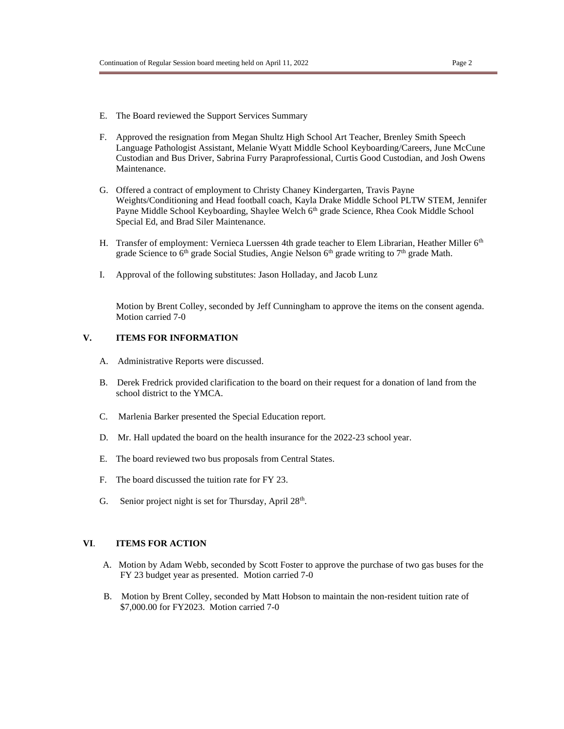- E. The Board reviewed the Support Services Summary
- F. Approved the resignation from Megan Shultz High School Art Teacher, Brenley Smith Speech Language Pathologist Assistant, Melanie Wyatt Middle School Keyboarding/Careers, June McCune Custodian and Bus Driver, Sabrina Furry Paraprofessional, Curtis Good Custodian, and Josh Owens Maintenance.
- G. Offered a contract of employment to Christy Chaney Kindergarten, Travis Payne Weights/Conditioning and Head football coach, Kayla Drake Middle School PLTW STEM, Jennifer Payne Middle School Keyboarding, Shaylee Welch 6<sup>th</sup> grade Science, Rhea Cook Middle School Special Ed, and Brad Siler Maintenance.
- H. Transfer of employment: Vernieca Luerssen 4th grade teacher to Elem Librarian, Heather Miller 6<sup>th</sup> grade Science to  $6<sup>th</sup>$  grade Social Studies, Angie Nelson  $6<sup>th</sup>$  grade writing to  $7<sup>th</sup>$  grade Math.
- I. Approval of the following substitutes: Jason Holladay, and Jacob Lunz

Motion by Brent Colley, seconded by Jeff Cunningham to approve the items on the consent agenda. Motion carried 7-0

#### **V. ITEMS FOR INFORMATION**

- A. Administrative Reports were discussed.
- B. Derek Fredrick provided clarification to the board on their request for a donation of land from the school district to the YMCA.
- C. Marlenia Barker presented the Special Education report.
- D. Mr. Hall updated the board on the health insurance for the 2022-23 school year.
- E. The board reviewed two bus proposals from Central States.
- F. The board discussed the tuition rate for FY 23.
- G. Senior project night is set for Thursday, April  $28<sup>th</sup>$ .

### **VI**. **ITEMS FOR ACTION**

- A. Motion by Adam Webb, seconded by Scott Foster to approve the purchase of two gas buses for the FY 23 budget year as presented. Motion carried 7-0
- B. Motion by Brent Colley, seconded by Matt Hobson to maintain the non-resident tuition rate of \$7,000.00 for FY2023. Motion carried 7-0